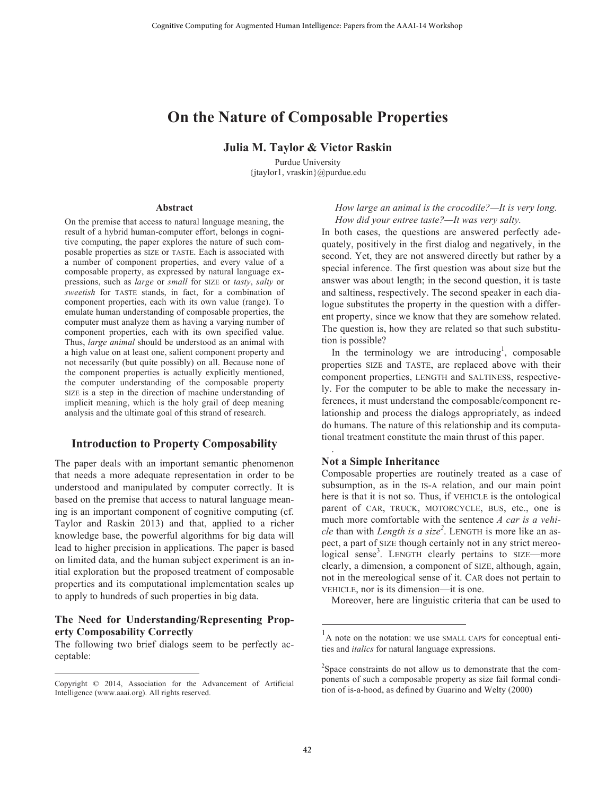# **On the Nature of Composable Properties**

## **Julia M. Taylor & Victor Raskin**

Purdue University {jtaylor1, vraskin}@purdue.edu

## **Abstract**

On the premise that access to natural language meaning, the result of a hybrid human-computer effort, belongs in cognitive computing, the paper explores the nature of such composable properties as SIZE or TASTE. Each is associated with a number of component properties, and every value of a composable property, as expressed by natural language expressions, such as *large* or *small* for SIZE or *tasty*, *salty* or *sweetish* for TASTE stands, in fact, for a combination of component properties, each with its own value (range). To emulate human understanding of composable properties, the computer must analyze them as having a varying number of component properties, each with its own specified value. Thus, *large animal* should be understood as an animal with a high value on at least one, salient component property and not necessarily (but quite possibly) on all. Because none of the component properties is actually explicitly mentioned, the computer understanding of the composable property SIZE is a step in the direction of machine understanding of implicit meaning, which is the holy grail of deep meaning analysis and the ultimate goal of this strand of research.

## **Introduction to Property Composability**

The paper deals with an important semantic phenomenon that needs a more adequate representation in order to be understood and manipulated by computer correctly. It is based on the premise that access to natural language meaning is an important component of cognitive computing (cf. Taylor and Raskin 2013) and that, applied to a richer knowledge base, the powerful algorithms for big data will lead to higher precision in applications. The paper is based on limited data, and the human subject experiment is an initial exploration but the proposed treatment of composable properties and its computational implementation scales up to apply to hundreds of such properties in big data.

## **The Need for Understanding/Representing Property Composability Correctly**

The following two brief dialogs seem to be perfectly acceptable:

 $\overline{a}$ 

#### *How large an animal is the crocodile?—It is very long. How did your entree taste?—It was very salty.*

In both cases, the questions are answered perfectly adequately, positively in the first dialog and negatively, in the second. Yet, they are not answered directly but rather by a special inference. The first question was about size but the answer was about length; in the second question, it is taste and saltiness, respectively. The second speaker in each dialogue substitutes the property in the question with a different property, since we know that they are somehow related. The question is, how they are related so that such substitution is possible?

In the terminology we are introducing<sup>1</sup>, composable properties SIZE and TASTE, are replaced above with their component properties, LENGTH and SALTINESS, respectively. For the computer to be able to make the necessary inferences, it must understand the composable/component relationship and process the dialogs appropriately, as indeed do humans. The nature of this relationship and its computational treatment constitute the main thrust of this paper.

#### **Not a Simple Inheritance**

.

Composable properties are routinely treated as a case of subsumption, as in the IS-A relation, and our main point here is that it is not so. Thus, if VEHICLE is the ontological parent of CAR, TRUCK, MOTORCYCLE, BUS, etc., one is much more comfortable with the sentence *A car is a vehicle* than with *Length is a size<sup>2</sup>* . LENGTH is more like an aspect, a part of SIZE though certainly not in any strict mereological sense<sup>3</sup>. LENGTH clearly pertains to SIZE—more clearly, a dimension, a component of SIZE, although, again, not in the mereological sense of it. CAR does not pertain to VEHICLE, nor is its dimension—it is one.

Moreover, here are linguistic criteria that can be used to

 $\overline{a}$ 

Copyright © 2014, Association for the Advancement of Artificial Intelligence (www.aaai.org). All rights reserved.

<sup>&</sup>lt;sup>1</sup>A note on the notation: we use SMALL CAPS for conceptual entities and *italics* for natural language expressions.

 $2$ Space constraints do not allow us to demonstrate that the components of such a composable property as size fail formal condition of is-a-hood, as defined by Guarino and Welty (2000)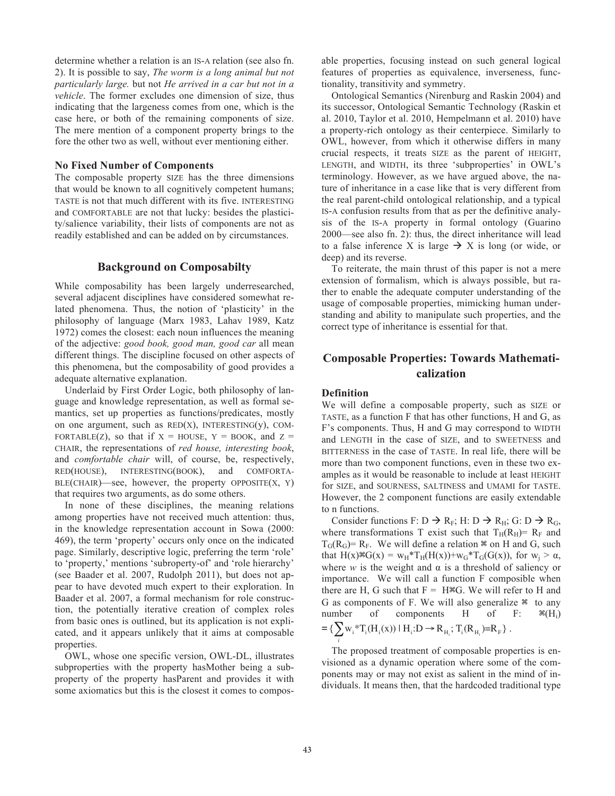determine whether a relation is an IS-A relation (see also fn. 2). It is possible to say, *The worm is a long animal but not particularly large.* but not *He arrived in a car but not in a vehicle*. The former excludes one dimension of size, thus indicating that the largeness comes from one, which is the case here, or both of the remaining components of size. The mere mention of a component property brings to the fore the other two as well, without ever mentioning either.

## **No Fixed Number of Components**

The composable property SIZE has the three dimensions that would be known to all cognitively competent humans; TASTE is not that much different with its five. INTERESTING and COMFORTABLE are not that lucky: besides the plasticity/salience variability, their lists of components are not as readily established and can be added on by circumstances.

#### **Background on Composabilty**

While composability has been largely underresearched, several adjacent disciplines have considered somewhat related phenomena. Thus, the notion of 'plasticity' in the philosophy of language (Marx 1983, Lahav 1989, Katz 1972) comes the closest: each noun influences the meaning of the adjective: *good book, good man, good car* all mean different things. The discipline focused on other aspects of this phenomena, but the composability of good provides a adequate alternative explanation.

Underlaid by First Order Logic, both philosophy of language and knowledge representation, as well as formal semantics, set up properties as functions/predicates, mostly on one argument, such as  $RED(X)$ , INTERESTING(y), COM-FORTABLE(Z), so that if  $X = HOLSE$ ,  $Y = BOOK$ , and  $Z =$ CHAIR, the representations of *red house, interesting book*, and *comfortable chair* will, of course, be, respectively, RED(HOUSE), INTERESTING(BOOK), and COMFORTA- $BLE(CHAIR)$ —see, however, the property OPPOSITE $(X, Y)$ that requires two arguments, as do some others.

In none of these disciplines, the meaning relations among properties have not received much attention: thus, in the knowledge representation account in Sowa (2000: 469), the term 'property' occurs only once on the indicated page. Similarly, descriptive logic, preferring the term 'role' to 'property,' mentions 'subroperty-of' and 'role hierarchy' (see Baader et al. 2007, Rudolph 2011), but does not appear to have devoted much expert to their exploration. In Baader et al. 2007, a formal mechanism for role construction, the potentially iterative creation of complex roles from basic ones is outlined, but its application is not explicated, and it appears unlikely that it aims at composable properties.

OWL, whose one specific version, OWL-DL, illustrates subproperties with the property hasMother being a subproperty of the property hasParent and provides it with some axiomatics but this is the closest it comes to compos-

able properties, focusing instead on such general logical features of properties as equivalence, inverseness, functionality, transitivity and symmetry.

Ontological Semantics (Nirenburg and Raskin 2004) and its successor, Ontological Semantic Technology (Raskin et al. 2010, Taylor et al. 2010, Hempelmann et al. 2010) have a property-rich ontology as their centerpiece. Similarly to OWL, however, from which it otherwise differs in many crucial respects, it treats SIZE as the parent of HEIGHT, LENGTH, and WIDTH, its three 'subproperties' in OWL's terminology. However, as we have argued above, the nature of inheritance in a case like that is very different from the real parent-child ontological relationship, and a typical IS-A confusion results from that as per the definitive analysis of the IS-A property in formal ontology (Guarino 2000—see also fn. 2): thus, the direct inheritance will lead to a false inference X is large  $\rightarrow X$  is long (or wide, or deep) and its reverse.

To reiterate, the main thrust of this paper is not a mere extension of formalism, which is always possible, but rather to enable the adequate computer understanding of the usage of composable properties, mimicking human understanding and ability to manipulate such properties, and the correct type of inheritance is essential for that.

## **Composable Properties: Towards Mathematicalization**

## **Definition**

We will define a composable property, such as SIZE or TASTE, as a function F that has other functions, H and G, as F's components. Thus, H and G may correspond to WIDTH and LENGTH in the case of SIZE, and to SWEETNESS and BITTERNESS in the case of TASTE. In real life, there will be more than two component functions, even in these two examples as it would be reasonable to include at least HEIGHT for SIZE, and SOURNESS, SALTINESS and UMAMI for TASTE. However, the 2 component functions are easily extendable to n functions.

Consider functions F: D  $\Rightarrow$  R<sub>F</sub>; H: D  $\Rightarrow$  R<sub>H</sub>; G: D  $\Rightarrow$  R<sub>G</sub>, where transformations T exist such that  $T_H(R_H)$ =  $R_F$  and  $T_G(R_G)$ =  $R_F$ . We will define a relation  $*$  on H and G, such that  $H(x)$ <sup> $*$ </sup> $G(x) = w_H * T_H(H(x)) + w_G * T_G(G(x))$ , for  $w_i > \alpha$ , where *w* is the weight and  $\alpha$  is a threshold of saliency or importance. We will call a function F composible when there are H, G such that  $F = H \ast G$ . We will refer to H and G as components of F. We will also generalize  $*$  to any number of components H of F:  $\mathcal{H}(H_i)$  $=\{\sum_{i} w_i^* T_i(H_i(x)) \mid H_i: D \to R_{H_i}; T_i(R_{H_i})=R_F\}$  $\sum_i$  w<sub>i</sub> \*T<sub>i</sub>(H<sub>i</sub>(x)) | H<sub>i</sub>:D  $\rightarrow$  R<sub>H<sub>i</sub></sub>; T<sub>i</sub>(R<sub>H<sub>i</sub></sub>)=R<sub>F</sub>}.

The proposed treatment of composable properties is envisioned as a dynamic operation where some of the components may or may not exist as salient in the mind of individuals. It means then, that the hardcoded traditional type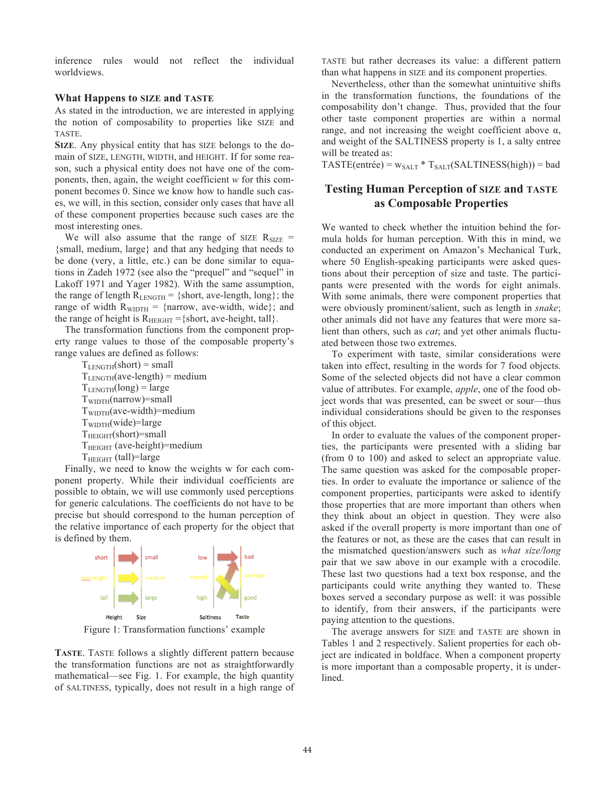inference rules would not reflect the individual worldviews.

## **What Happens to SIZE and TASTE**

As stated in the introduction, we are interested in applying the notion of composability to properties like SIZE and TASTE.

**SIZE**. Any physical entity that has SIZE belongs to the domain of SIZE, LENGTH, WIDTH, and HEIGHT. If for some reason, such a physical entity does not have one of the components, then, again, the weight coefficient *w* for this component becomes 0. Since we know how to handle such cases, we will, in this section, consider only cases that have all of these component properties because such cases are the most interesting ones.

We will also assume that the range of SIZE  $R_{\text{SIZE}}$  = {small, medium, large} and that any hedging that needs to be done (very, a little, etc.) can be done similar to equations in Zadeh 1972 (see also the "prequel" and "sequel" in Lakoff 1971 and Yager 1982). With the same assumption, the range of length  $R_{\text{LENGTH}} = \{\text{short}, \text{ave-length}, \text{long}\};$  the range of width  $R_{WIDTH}$  = {narrow, ave-width, wide}; and the range of height is  $R_{HEIGHT} = {short, ave-height, tall}.$ 

The transformation functions from the component property range values to those of the composable property's range values are defined as follows:

> $T_{\text{LENGTH}}(\text{short})$  = small  $T_{LENGTH}(ave-length) = medium$  $T_{\text{LENGTH}}(\text{long}) = \text{large}$  $T_{\text{WIDTH}}(narrow)=\text{small}$  $T_{\text{WIDTH}}($ ave-width)=medium  $T<sub>WIDTH</sub>(wide)=large$  $T<sub>HEIGHT</sub>(short)=small$ THEIGHT (ave-height)=medium  $T_{HEIGHT}$  (tall)=large

Finally, we need to know the weights w for each component property. While their individual coefficients are possible to obtain, we will use commonly used perceptions for generic calculations. The coefficients do not have to be precise but should correspond to the human perception of the relative importance of each property for the object that is defined by them.



Figure 1: Transformation functions' example

**TASTE**. TASTE follows a slightly different pattern because the transformation functions are not as straightforwardly mathematical—see Fig. 1. For example, the high quantity of SALTINESS, typically, does not result in a high range of TASTE but rather decreases its value: a different pattern than what happens in SIZE and its component properties.

Nevertheless, other than the somewhat unintuitive shifts in the transformation functions, the foundations of the composability don't change. Thus, provided that the four other taste component properties are within a normal range, and not increasing the weight coefficient above α, and weight of the SALTINESS property is 1, a salty entree will be treated as:

 $TASTE(entrée) = w<sub>SALT</sub> * T<sub>SALT</sub>(SALTINESS(high)) = bad$ 

## **Testing Human Perception of SIZE and TASTE as Composable Properties**

We wanted to check whether the intuition behind the formula holds for human perception. With this in mind, we conducted an experiment on Amazon's Mechanical Turk, where 50 English-speaking participants were asked questions about their perception of size and taste. The participants were presented with the words for eight animals. With some animals, there were component properties that were obviously prominent/salient, such as length in *snake*; other animals did not have any features that were more salient than others, such as *cat*; and yet other animals fluctuated between those two extremes.

To experiment with taste, similar considerations were taken into effect, resulting in the words for 7 food objects. Some of the selected objects did not have a clear common value of attributes. For example, *apple*, one of the food object words that was presented, can be sweet or sour—thus individual considerations should be given to the responses of this object.

In order to evaluate the values of the component properties, the participants were presented with a sliding bar (from 0 to 100) and asked to select an appropriate value. The same question was asked for the composable properties. In order to evaluate the importance or salience of the component properties, participants were asked to identify those properties that are more important than others when they think about an object in question. They were also asked if the overall property is more important than one of the features or not, as these are the cases that can result in the mismatched question/answers such as *what size/long*  pair that we saw above in our example with a crocodile. These last two questions had a text box response, and the participants could write anything they wanted to. These boxes served a secondary purpose as well: it was possible to identify, from their answers, if the participants were paying attention to the questions.

The average answers for SIZE and TASTE are shown in Tables 1 and 2 respectively. Salient properties for each object are indicated in boldface. When a component property is more important than a composable property, it is underlined.